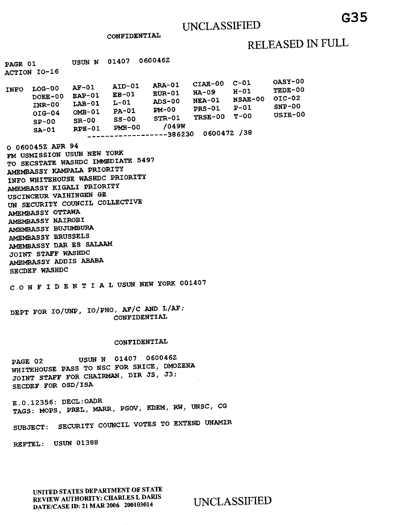CONFIDENTIAL

# RELEASED IN FULL

0ASY-00 TEDE-00  $OIC-02$ SNP-00  $USIE-00$ 

| $LOG-00$<br><b>INFO</b><br>$DOEE-00$<br><b>INR-00</b><br>$OIG-04$<br>$SP-00$<br>$S_A-01$ | $AF-01$<br>$EAP-01$<br>$L$ AB-01<br>$OMB-01$<br>$SR-00$<br>$RPE-01$ | AID-01<br>$EB-01$<br>L-01<br>$PA-01$<br>$SS-00$<br>$PMB-00$ | <b>ARA-01</b><br><b>EUR-01</b><br><b>ADS-00</b><br>$PM-00$<br>$STR-01$<br>/049W<br>--386230 | $CIAB-00$<br>HA-09<br><b>NEA-01</b><br><b>PRS-01</b><br>TRSE-00<br>0600472 /38 | $C-01$<br>$H-01$<br>NSAE-00<br>$P-01$<br>т-00 |
|------------------------------------------------------------------------------------------|---------------------------------------------------------------------|-------------------------------------------------------------|---------------------------------------------------------------------------------------------|--------------------------------------------------------------------------------|-----------------------------------------------|

0 060045Z APR 94 FM USMISSION USUN NEW YORK TO SECSTATE WASHDC IMMEDIATE 5497 AMEMBASSY KAMPALA PRIORITY INFO WHITEHOUSE WASHDC PRIORITY AMEMBASSY KIGALI PRIORITY USCINCEUR VAIHINGEN GE UN SECURITY COUNCIL COLLECTIVE AMEMBASSY OTTAWA AMEMBASSY NAIROBI AMEMBASSY BUJUMBURA AMEMBASSY BRUSSELS AMEMBASSY DAR ES SALAAM JOINT STAFF WASHDC AMEMBASSY ADDIS ABABA SECDEF WASHDC

C ONFIDENTIALUSUN NEW YORK 001407

DEPT FOR IO/UNP, IO/PHO, AF/C AND L/AF; CONFIDENTIAL

#### CONFIDENTIAL

PAGE 02 USUN N 01407 060046Z WHITEHOUSE PASS TO NSC FOR SRICE, DMOZENA JOINT STAFF FOR CHAIRMAN, DIR JS, J3; SECDEF FOR OSD/ISA

E.0.12355: DECL:OADR TAGS: MOPS, PREL, MARR, PGOV, KDEM, RW, UNSC, CG

SUBJECT: SECURITY COUNCIL VOTES TO EXTEND UNAMIR

REFTEL: USUN 01388

**UNITED STATES DEPARTMENT OF STATE REVIEW AUTHORITY: CHARLES L DARIS DATE/CASE ID: 21 MAR 2006 200103014** UNCLASSIFIED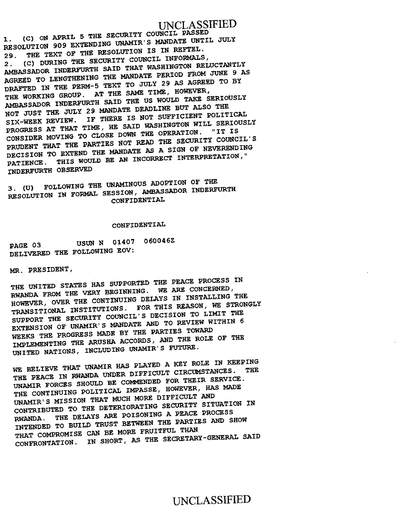## UNCLASSIFIED

**1. (C) ON APRIL 5 THE SECURITY COUNCIL PASSED RESOLUTION 909 EXTENDING UNAMIR'S MANDATE UNTIL JULY 29. THE TEXT OF THE RESOLUTION IS IN REFTEL. 2. (C) DURING THE SECURITY COUNCIL INFORMALS, AMBASSADOR INDERFURTH SAID THAT WASHINGTON RELUCTANTLY AGREED TO LENGTHENING THE MANDATE PERIOD FROM JUNE 9 AS DRAFTED IN THE PERM-5 TEXT TO JULY 29 AS AGREED TO BY THE WORKING GROUP. AT THE SAME TIME, HOWEVER, AMBASSADOR INDERFURTH SAID THE US WOULD TAKE SERIOUSLY NOT JUST THE JULY 29 MANDATE DEADLINE BUT ALSO THE SIX-WEEK REVIEW. IF THERE IS NOT SUFFICIENT POLITICAL PROGRESS AT THAT TIME, HE SAID WASHINGTON WILL SERIOUSLY CONSIDER MOVING TO CLOSE DOWN THE OPERATION. "IT IS PRUDENT THAT THE PARTIES NOT READ THE SECURITY COUNCIL'S DECISION TO EXTEND THE MANDATE AS A SIGN OF NEVERENDING PATIENCE. THIS WOULD BE AN INCORRECT INTERPRETATION," INDERFURTH OBSERVED** 

**3. (U) FOLLOWING THE UNAMINOUS ADOPTION OF THE RESOLUTION IN FORMAL SESSION, AMBASSADOR INDERFURTH CONFIDENTIAL** 

#### **CONFIDENTIAL**

**PAGE 03 USUN N 01407 060046Z DELIVERED THE FOLLOWING EOV:** 

**MR. PRESIDENT,** 

**THE UNITED STATES HAS SUPPORTED THE PEACE PROCESS IN RWANDA FROM THE VERY BEGINNING. WE ARE CONCERNED, HOWEVER, OVER THE CONTINUING DELAYS IN INSTALLING THE TRANSITIONAL INSTITUTIONS. FOR THIS REASON, WE STRONGLY SUPPORT THE SECURITY COUNCIL'S DECISION TO LIMIT THE EXTENSION OF UNAMIR'S MANDATE AND TO REVIEW WITHIN 6 WEEKS THE PROGRESS MADE BY THE PARTIES TOWARD IMPLEMENTING THE ARUSHA ACCORDS, AND THE ROLE OF THE UNITED NATIONS, INCLUDING UNAMIR'S FUTURE.** 

**WE BELIEVE THAT UNAMIR HAS PLAYED A KEY ROLE IN KEEPING THE PEACE IN RWANDA UNDER DIFFICULT CIRCUMSTANCES. THE UNAMIR FORCES SHOULD BE COMMENDED FOR THEIR SERVICE. THE CONTINUING POLITICAL IMPASSE, HOWEVER, HAS MADE UNAMIR'S MISSION THAT MUCH MORE DIFFICULT AND CONTRIBUTED TO THE DETERIORATING SECURITY SITUATION IN RWANDA.** THE DELAYS ARE POISONING A PEACE PROCESS **INTENDED TO BUILD TRUST BETWEEN THE PARTIES AND SHOW THAT COMPROMISE CAN BE MORE FRUITFUL THAN CONFRONTATION. IN SHORT, AS THE SECRETARY-GENERAL SAID** 

### UNCLASSIFIED